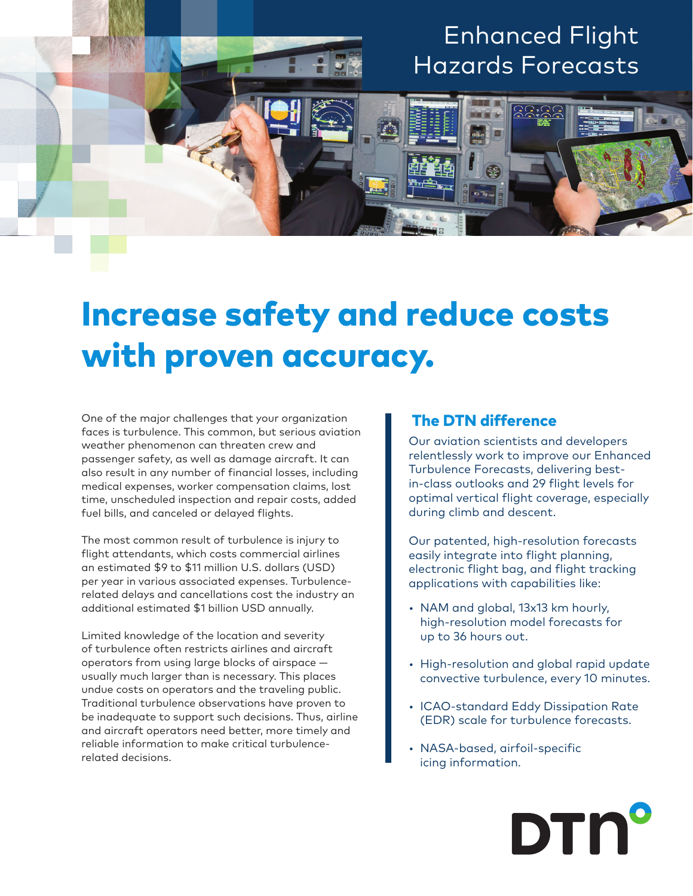## Enhanced Flight Hazards Forecasts

## Increase safety and reduce costs with proven accuracy.

One of the major challenges that your organization faces is turbulence. This common, but serious aviation weather phenomenon can threaten crew and passenger safety, as well as damage aircraft. It can also result in any number of financial losses, including medical expenses, worker compensation claims, lost time, unscheduled inspection and repair costs, added fuel bills, and canceled or delayed flights.

The most common result of turbulence is injury to flight attendants, which costs commercial airlines an estimated \$9 to \$11 million U.S. dollars (USD) per year in various associated expenses. Turbulencerelated delays and cancellations cost the industry an additional estimated \$1 billion USD annually.

Limited knowledge of the location and severity of turbulence often restricts airlines and aircraft operators from using large blocks of airspace usually much larger than is necessary. This places undue costs on operators and the traveling public. Traditional turbulence observations have proven to be inadequate to support such decisions. Thus, airline and aircraft operators need better, more timely and reliable information to make critical turbulencerelated decisions.

## The DTN difference

Our aviation scientists and developers relentlessly work to improve our Enhanced Turbulence Forecasts, delivering bestin-class outlooks and 29 flight levels for optimal vertical flight coverage, especially during climb and descent.

Our patented, high-resolution forecasts easily integrate into flight planning, electronic flight bag, and flight tracking applications with capabilities like:

- NAM and global, 13x13 km hourly, high-resolution model forecasts for up to 36 hours out.
- High-resolution and global rapid update convective turbulence, every 10 minutes.
- ICAO-standard Eddy Dissipation Rate (EDR) scale for turbulence forecasts.
- NASA-based, airfoil-specific icing information.